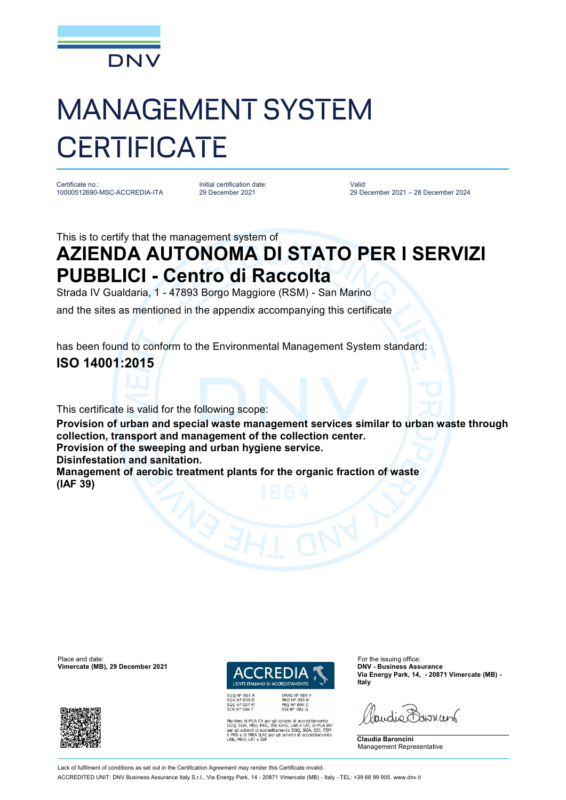

## MANAGEMENT SYSTEM **CERTIFICATE**

Certificate no.: 10000512690-MSC-ACCREDIA-ITA Initial certification date: 29 December 2021

Valid: 29 December 2021 – 28 December 2024

This is to certify that the management system of

## **AZIENDA AUTONOMA DI STATO PER I SERVIZI PUBBLICI - Centro di Raccolta**

Strada IV Gualdaria, 1 - 47893 Borgo Maggiore (RSM) - San Marino

and the sites as mentioned in the appendix accompanying this certificate

has been found to conform to the Environmental Management System standard:

## **ISO 14001:2015**

This certificate is valid for the following scope:

**Provision of urban and special waste management services similar to urban waste through collection, transport and management of the collection center.**

**Provision of the sweeping and urban hygiene service.**

**Disinfestation and sanitation.**

**Management of aerobic treatment plants for the organic fraction of waste (IAF 39)**

Place and date: For the issuing office:<br> **Vimercate (MB), 29 December 2021 COLORED ED ACTIVE AND TOW - Business Assurance Vimercate (MB), 29 December 2021** 





EMAS Nº 009 P<br>PRD Nº 003 B<br>PRS Nº 094 C<br>SSI Nº 002 G MLA EA per gli schemi di accreditamento<br>PRD, PRS, ISP, GHG, LAB e LAT, di MLA IAF<br>emi di accreditamento SGQ, SGA, SSI, FSM<br>MRA ILAC per gli schemi di accreditamento<br>LAT e ISP **Via Energy Park, 14, - 20871 Vimercate (MB) - Italy**

audie Barnant

**Claudia Baroncini** Management Representative

Lack of fulfilment of conditions as set out in the Certification Agreement may render this Certificate invalid

ACCREDITED UNIT: DNV Business Assurance Italy S.r.l., Via Energy Park, 14 - 20871 Vimercate (MB) - Italy - TEL: +39 68 99 905. [www.dnv.it](http://www.dnv.it)